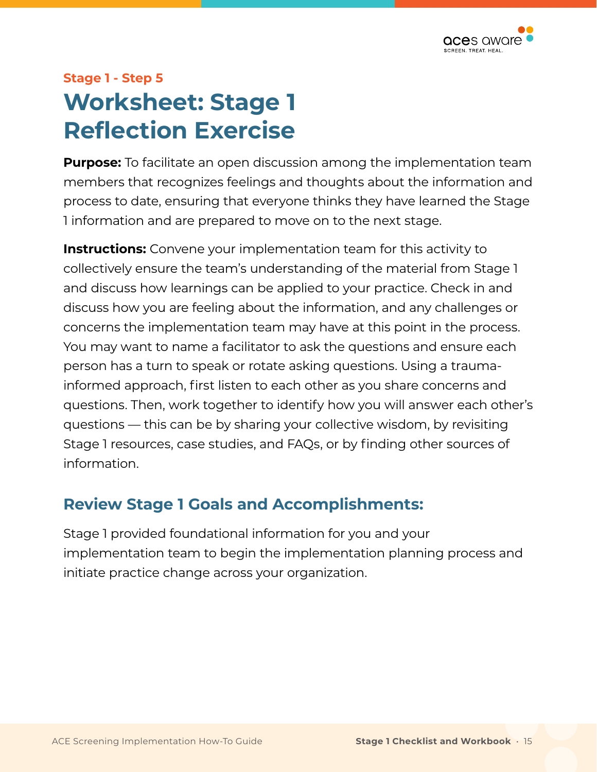

## **Stage 1 - Step 5 Worksheet: Stage 1 Refection Exercise**

**Purpose:** To facilitate an open discussion among the implementation team members that recognizes feelings and thoughts about the information and process to date, ensuring that everyone thinks they have learned the Stage 1 information and are prepared to move on to the next stage.

**Instructions:** Convene your implementation team for this activity to collectively ensure the team's understanding of the material from Stage 1 and discuss how learnings can be applied to your practice. Check in and discuss how you are feeling about the information, and any challenges or concerns the implementation team may have at this point in the process. You may want to name a facilitator to ask the questions and ensure each person has a turn to speak or rotate asking questions. Using a traumainformed approach, first listen to each other as you share concerns and questions. Then, work together to identify how you will answer each other's questions — this can be by sharing your collective wisdom, by revisiting Stage 1 resources, case studies, and FAQs, or by finding other sources of information.

## **Review Stage 1 Goals and Accomplishments:**

Stage 1 provided foundational information for you and your implementation team to begin the implementation planning process and initiate practice change across your organization.